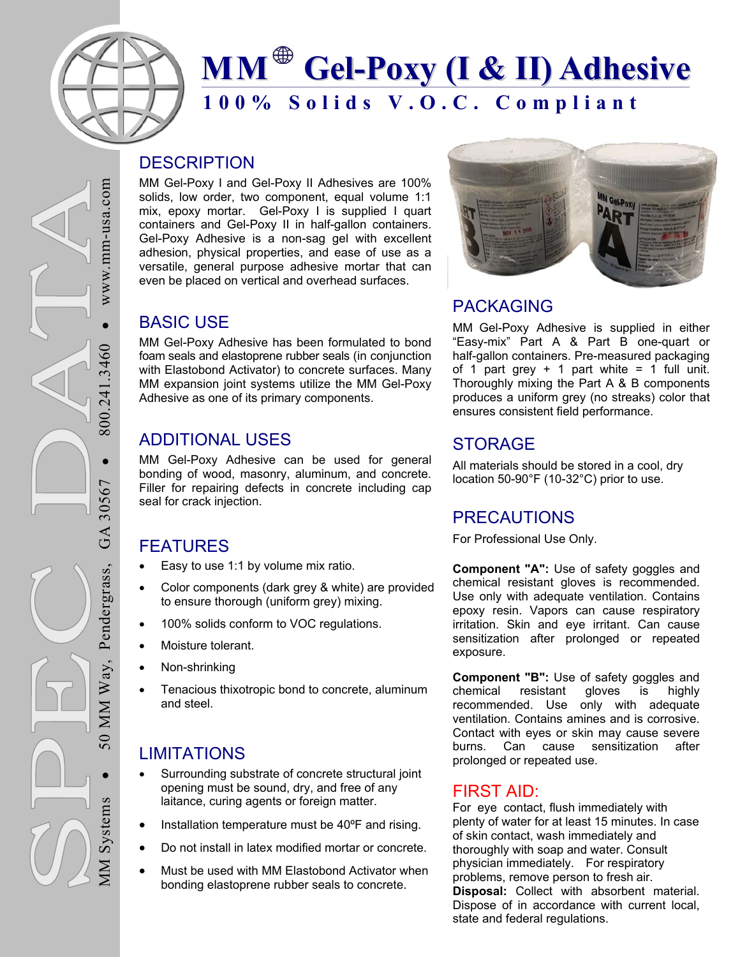

# **100% Solids V.O.C. Compliant MM Gel-Poxy (I & II) Adhesive**

#### **DESCRIPTION**

MM Gel-Poxy I and Gel-Poxy II Adhesives are 100% solids, low order, two component, equal volume 1:1 mix, epoxy mortar. Gel-Poxy I is supplied I quart containers and Gel-Poxy II in half-gallon containers. Gel-Poxy Adhesive is a non-sag gel with excellent adhesion, physical properties, and ease of use as a versatile, general purpose adhesive mortar that can even be placed on vertical and overhead surfaces.

#### BASIC USE

MM Gel-Poxy Adhesive has been formulated to bond foam seals and elastoprene rubber seals (in conjunction with Elastobond Activator) to concrete surfaces. Many MM expansion joint systems utilize the MM Gel-Poxy Adhesive as one of its primary components.

# ADDITIONAL USES

MM Gel-Poxy Adhesive can be used for general bonding of wood, masonry, aluminum, and concrete. Filler for repairing defects in concrete including cap seal for crack injection.

# FEATURES

- Easy to use 1:1 by volume mix ratio.
- Color components (dark grey & white) are provided to ensure thorough (uniform grey) mixing.
- 100% solids conform to VOC regulations.
- Moisture tolerant.
- Non-shrinking
- Tenacious thixotropic bond to concrete, aluminum and steel.

# **LIMITATIONS**

MM Systems

**MM** Systems

50 MM Way, Pendergrass, GA 30567

MM Way,

 $\overline{0}$ 

Pendergrass,

 $\bullet$  800.241.3460

800.24

 $\bullet$ 

30567

GA

 $.3460$ 

 $\bullet$  WW.mm-usa.com

 $WWW$ .mm-usa.com

- Surrounding substrate of concrete structural joint opening must be sound, dry, and free of any laitance, curing agents or foreign matter.
- Installation temperature must be 40ºF and rising.
- Do not install in latex modified mortar or concrete.
- Must be used with MM Elastobond Activator when bonding elastoprene rubber seals to concrete.



# PACKAGING

MM Gel-Poxy Adhesive is supplied in either "Easy-mix" Part A & Part B one-quart or half-gallon containers. Pre-measured packaging of 1 part grey  $+$  1 part white = 1 full unit. Thoroughly mixing the Part A & B components produces a uniform grey (no streaks) color that ensures consistent field performance.

# STORAGE

All materials should be stored in a cool, dry location 50-90°F (10-32°C) prior to use.

# PRECAUTIONS

For Professional Use Only.

**Component "A":** Use of safety goggles and chemical resistant gloves is recommended. Use only with adequate ventilation. Contains epoxy resin. Vapors can cause respiratory irritation. Skin and eye irritant. Can cause sensitization after prolonged or repeated exposure.

**Component "B":** Use of safety goggles and chemical resistant gloves is highly recommended. Use only with adequate ventilation. Contains amines and is corrosive. Contact with eyes or skin may cause severe burns. Can cause sensitization after prolonged or repeated use.

#### FIRST AID:

For eye contact, flush immediately with plenty of water for at least 15 minutes. In case of skin contact, wash immediately and thoroughly with soap and water. Consult physician immediately. For respiratory problems, remove person to fresh air. **Disposal:** Collect with absorbent material. Dispose of in accordance with current local, state and federal regulations.